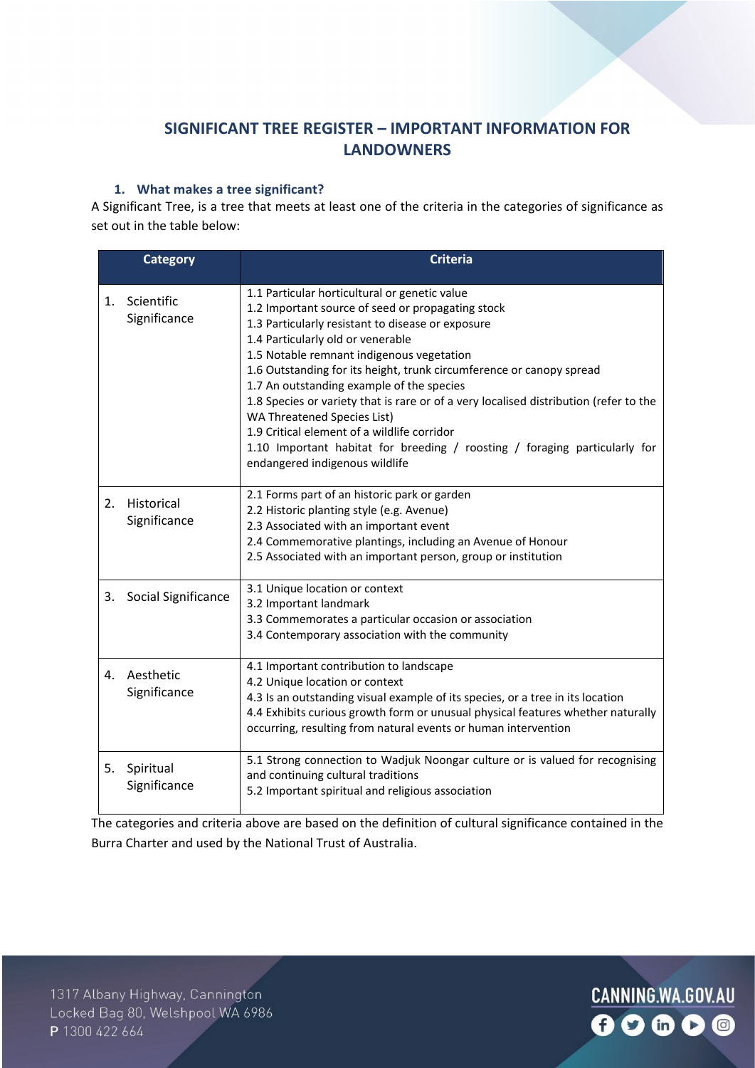# **SIGNIFICANT TREE REGISTER – IMPORTANT INFORMATION FOR LANDOWNERS**

## **1. What makes a tree significant?**

A Significant Tree, is a tree that meets at least one of the criteria in the categories of significance as set out in the table below:

|    | <b>Category</b>            | <b>Criteria</b>                                                                                                                                                                                                                                                                                                                                                                                                                                                                                                                                                                                                                                              |
|----|----------------------------|--------------------------------------------------------------------------------------------------------------------------------------------------------------------------------------------------------------------------------------------------------------------------------------------------------------------------------------------------------------------------------------------------------------------------------------------------------------------------------------------------------------------------------------------------------------------------------------------------------------------------------------------------------------|
| 1. | Scientific<br>Significance | 1.1 Particular horticultural or genetic value<br>1.2 Important source of seed or propagating stock<br>1.3 Particularly resistant to disease or exposure<br>1.4 Particularly old or venerable<br>1.5 Notable remnant indigenous vegetation<br>1.6 Outstanding for its height, trunk circumference or canopy spread<br>1.7 An outstanding example of the species<br>1.8 Species or variety that is rare or of a very localised distribution (refer to the<br><b>WA Threatened Species List)</b><br>1.9 Critical element of a wildlife corridor<br>1.10 Important habitat for breeding / roosting / foraging particularly for<br>endangered indigenous wildlife |
| 2. | Historical<br>Significance | 2.1 Forms part of an historic park or garden<br>2.2 Historic planting style (e.g. Avenue)<br>2.3 Associated with an important event<br>2.4 Commemorative plantings, including an Avenue of Honour<br>2.5 Associated with an important person, group or institution                                                                                                                                                                                                                                                                                                                                                                                           |
| 3. | Social Significance        | 3.1 Unique location or context<br>3.2 Important landmark<br>3.3 Commemorates a particular occasion or association<br>3.4 Contemporary association with the community                                                                                                                                                                                                                                                                                                                                                                                                                                                                                         |
| 4. | Aesthetic<br>Significance  | 4.1 Important contribution to landscape<br>4.2 Unique location or context<br>4.3 Is an outstanding visual example of its species, or a tree in its location<br>4.4 Exhibits curious growth form or unusual physical features whether naturally<br>occurring, resulting from natural events or human intervention                                                                                                                                                                                                                                                                                                                                             |
| 5. | Spiritual<br>Significance  | 5.1 Strong connection to Wadjuk Noongar culture or is valued for recognising<br>and continuing cultural traditions<br>5.2 Important spiritual and religious association                                                                                                                                                                                                                                                                                                                                                                                                                                                                                      |

The categories and criteria above are based on the definition of cultural significance contained in the Burra Charter and used by the National Trust of Australia.

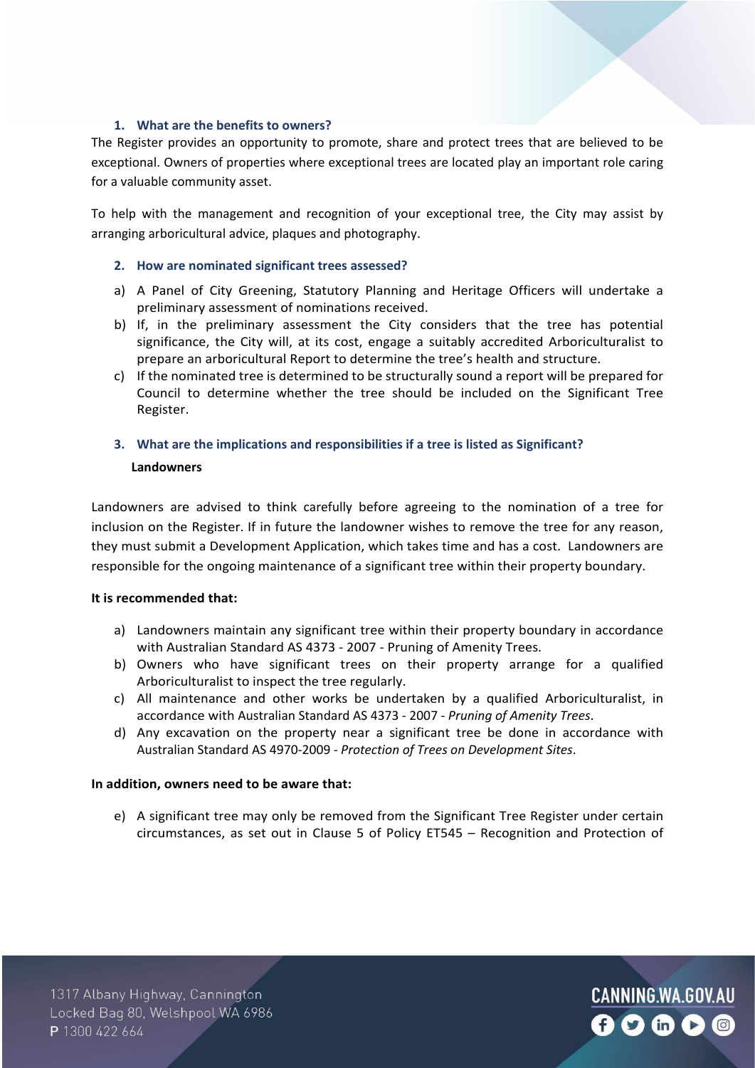### **1. What are the benefits to owners?**

The Register provides an opportunity to promote, share and protect trees that are believed to be exceptional. Owners of properties where exceptional trees are located play an important role caring for a valuable community asset.

To help with the management and recognition of your exceptional tree, the City may assist by arranging arboricultural advice, plaques and photography.

#### **2. How are nominated significant trees assessed?**

- a) A Panel of City Greening, Statutory Planning and Heritage Officers will undertake a preliminary assessment of nominations received.
- b) If, in the preliminary assessment the City considers that the tree has potential significance, the City will, at its cost, engage a suitably accredited Arboriculturalist to prepare an arboricultural Report to determine the tree's health and structure.
- c) If the nominated tree is determined to be structurally sound a report will be prepared for Council to determine whether the tree should be included on the Significant Tree Register.

# **3. What are the implications and responsibilities if a tree is listed as Significant? Landowners**

Landowners are advised to think carefully before agreeing to the nomination of a tree for inclusion on the Register. If in future the landowner wishes to remove the tree for any reason, they must submit a Development Application, which takes time and has a cost. Landowners are responsible for the ongoing maintenance of a significant tree within their property boundary.

#### **It is recommended that:**

- a) Landowners maintain any significant tree within their property boundary in accordance with Australian Standard AS 4373 - 2007 - Pruning of Amenity Trees.
- b) Owners who have significant trees on their property arrange for a qualified Arboriculturalist to inspect the tree regularly.
- c) All maintenance and other works be undertaken by a qualified Arboriculturalist, in accordance with Australian Standard AS 4373 - 2007 - *Pruning of Amenity Trees*.
- d) Any excavation on the property near a significant tree be done in accordance with Australian Standard AS 4970-2009 - *Protection of Trees on Development Sites*.

#### **In addition, owners need to be aware that:**

e) A significant tree may only be removed from the Significant Tree Register under certain circumstances, as set out in Clause 5 of Policy ET545 – Recognition and Protection of

1317 Albany Highway, Cannington Locked Bag 80, Welshpool WA 6986 P 1300 422 664

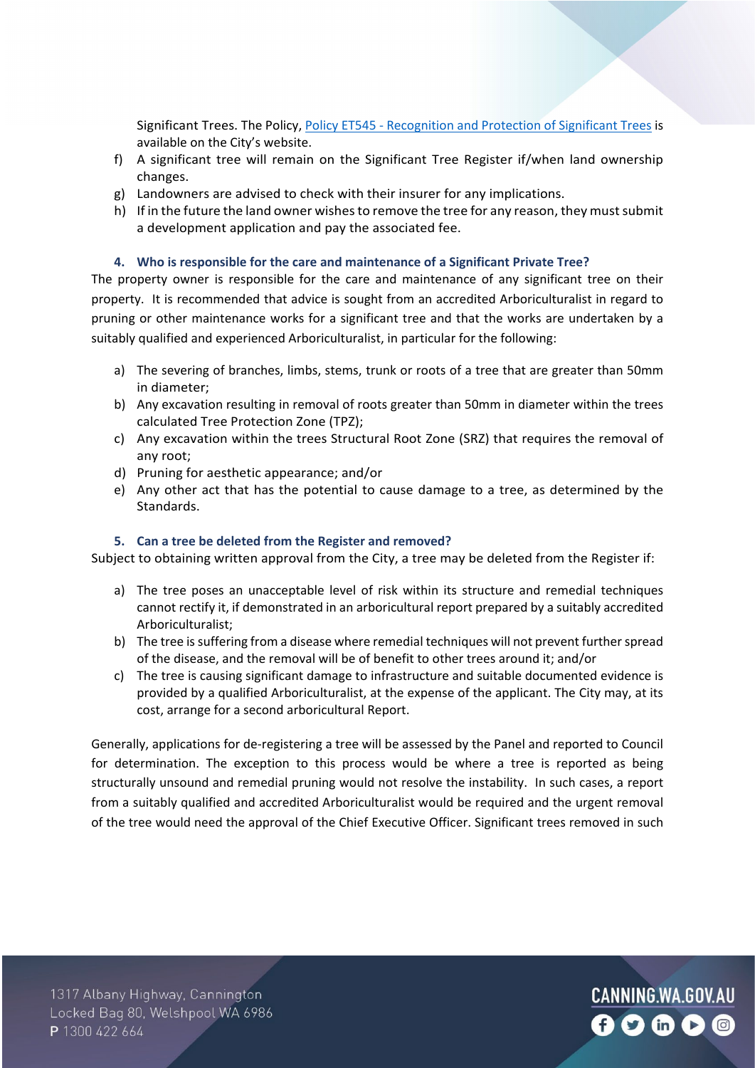Significant Trees. The Policy[, Policy ET545 - Recognition and Protection of Significant Trees](https://www.canning.wa.gov.au/getmedia/b2bc2ef9-a8e7-4ac1-9b14-6c3e4c60f44b/Policy-ET545-Recognition-and-Protection-of-Significant-Trees-(Adopted-19-10-2021)) is available on the City's website.

- f) A significant tree will remain on the Significant Tree Register if/when land ownership changes.
- g) Landowners are advised to check with their insurer for any implications.
- h) If in the future the land owner wishes to remove the tree for any reason, they must submit a development application and pay the associated fee.

#### **4. Who is responsible for the care and maintenance of a Significant Private Tree?**

The property owner is responsible for the care and maintenance of any significant tree on their property. It is recommended that advice is sought from an accredited Arboriculturalist in regard to pruning or other maintenance works for a significant tree and that the works are undertaken by a suitably qualified and experienced Arboriculturalist, in particular for the following:

- a) The severing of branches, limbs, stems, trunk or roots of a tree that are greater than 50mm in diameter;
- b) Any excavation resulting in removal of roots greater than 50mm in diameter within the trees calculated Tree Protection Zone (TPZ);
- c) Any excavation within the trees Structural Root Zone (SRZ) that requires the removal of any root;
- d) Pruning for aesthetic appearance; and/or
- e) Any other act that has the potential to cause damage to a tree, as determined by the Standards.

#### **5. Can a tree be deleted from the Register and removed?**

Subject to obtaining written approval from the City, a tree may be deleted from the Register if:

- a) The tree poses an unacceptable level of risk within its structure and remedial techniques cannot rectify it, if demonstrated in an arboricultural report prepared by a suitably accredited Arboriculturalist;
- b) The tree is suffering from a disease where remedial techniques will not prevent further spread of the disease, and the removal will be of benefit to other trees around it; and/or
- c) The tree is causing significant damage to infrastructure and suitable documented evidence is provided by a qualified Arboriculturalist, at the expense of the applicant. The City may, at its cost, arrange for a second arboricultural Report.

Generally, applications for de-registering a tree will be assessed by the Panel and reported to Council for determination. The exception to this process would be where a tree is reported as being structurally unsound and remedial pruning would not resolve the instability. In such cases, a report from a suitably qualified and accredited Arboriculturalist would be required and the urgent removal of the tree would need the approval of the Chief Executive Officer. Significant trees removed in such